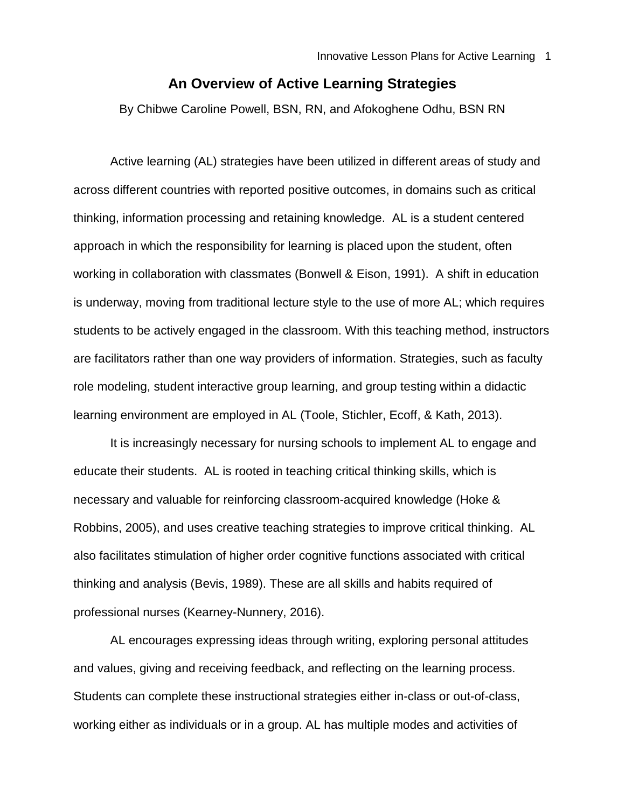## **An Overview of Active Learning Strategies**

By Chibwe Caroline Powell, BSN, RN, and Afokoghene Odhu, BSN RN

Active learning (AL) strategies have been utilized in different areas of study and across different countries with reported positive outcomes, in domains such as critical thinking, information processing and retaining knowledge. AL is a student centered approach in which the responsibility for learning is placed upon the student, often working in collaboration with classmates (Bonwell & Eison, 1991). A shift in education is underway, moving from traditional lecture style to the use of more AL; which requires students to be actively engaged in the classroom. With this teaching method, instructors are facilitators rather than one way providers of information. Strategies, such as faculty role modeling, student interactive group learning, and group testing within a didactic learning environment are employed in AL (Toole, Stichler, Ecoff, & Kath, 2013).

It is increasingly necessary for nursing schools to implement AL to engage and educate their students. AL is rooted in teaching critical thinking skills, which is necessary and valuable for reinforcing classroom-acquired knowledge (Hoke & Robbins, 2005), and uses creative teaching strategies to improve critical thinking. AL also facilitates stimulation of higher order cognitive functions associated with critical thinking and analysis (Bevis, 1989). These are all skills and habits required of professional nurses (Kearney-Nunnery, 2016).

AL encourages expressing ideas through writing, exploring personal attitudes and values, giving and receiving feedback, and reflecting on the learning process. Students can complete these instructional strategies either in-class or out-of-class, working either as individuals or in a group. AL has multiple modes and activities of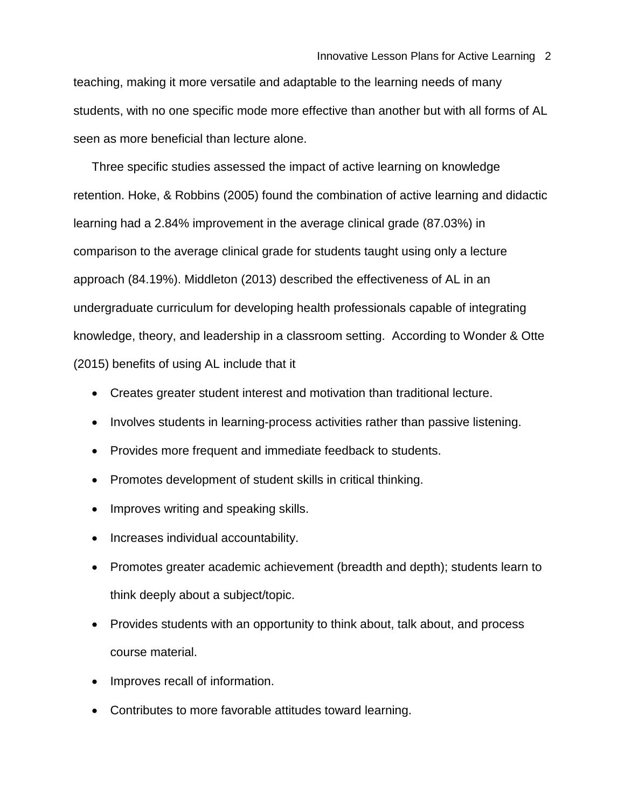teaching, making it more versatile and adaptable to the learning needs of many students, with no one specific mode more effective than another but with all forms of AL seen as more beneficial than lecture alone.

Three specific studies assessed the impact of active learning on knowledge retention. Hoke, & Robbins (2005) found the combination of active learning and didactic learning had a 2.84% improvement in the average clinical grade (87.03%) in comparison to the average clinical grade for students taught using only a lecture approach (84.19%). Middleton (2013) described the effectiveness of AL in an undergraduate curriculum for developing health professionals capable of integrating knowledge, theory, and leadership in a classroom setting. According to Wonder & Otte (2015) benefits of using AL include that it

- Creates greater student interest and motivation than traditional lecture.
- Involves students in learning-process activities rather than passive listening.
- Provides more frequent and immediate feedback to students.
- Promotes development of student skills in critical thinking.
- Improves writing and speaking skills.
- Increases individual accountability.
- Promotes greater academic achievement (breadth and depth); students learn to think deeply about a subject/topic.
- Provides students with an opportunity to think about, talk about, and process course material.
- Improves recall of information.
- Contributes to more favorable attitudes toward learning.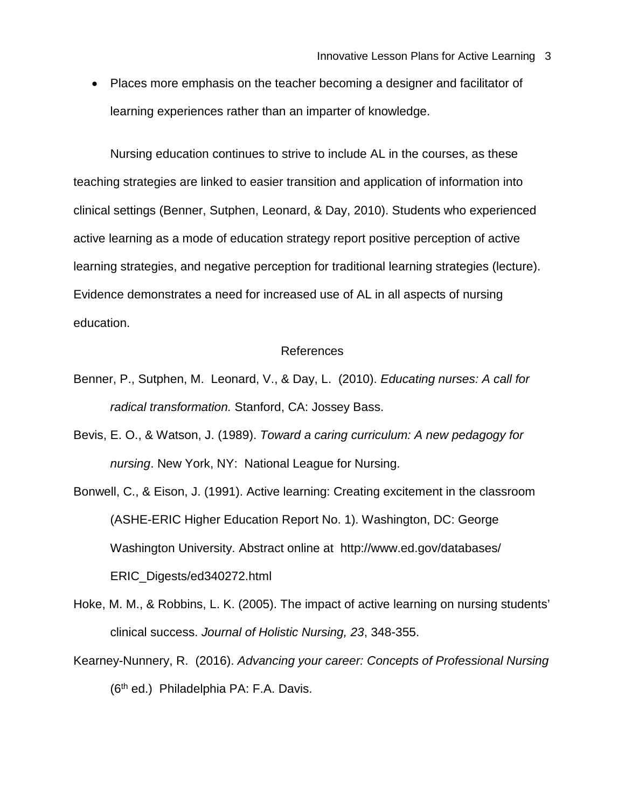• Places more emphasis on the teacher becoming a designer and facilitator of learning experiences rather than an imparter of knowledge.

Nursing education continues to strive to include AL in the courses, as these teaching strategies are linked to easier transition and application of information into clinical settings (Benner, Sutphen, Leonard, & Day, 2010). Students who experienced active learning as a mode of education strategy report positive perception of active learning strategies, and negative perception for traditional learning strategies (lecture). Evidence demonstrates a need for increased use of AL in all aspects of nursing education.

## References

- Benner, P., Sutphen, M. Leonard, V., & Day, L. (2010). *Educating nurses: A call for radical transformation.* Stanford, CA: Jossey Bass.
- Bevis, E. O., & Watson, J. (1989). *Toward a caring curriculum: A new pedagogy for nursing*. New York, NY: National League for Nursing.
- Bonwell, C., & Eison, J. (1991). Active learning: Creating excitement in the classroom (ASHE-ERIC Higher Education Report No. 1). Washington, DC: George Washington University. Abstract online at http://www.ed.gov/databases/ ERIC\_Digests/ed340272.html
- Hoke, M. M., & Robbins, L. K. (2005). The impact of active learning on nursing students' clinical success. *Journal of Holistic Nursing, 23*, 348-355.
- Kearney-Nunnery, R. (2016). *Advancing your career: Concepts of Professional Nursing* (6th ed.) Philadelphia PA: F.A. Davis.